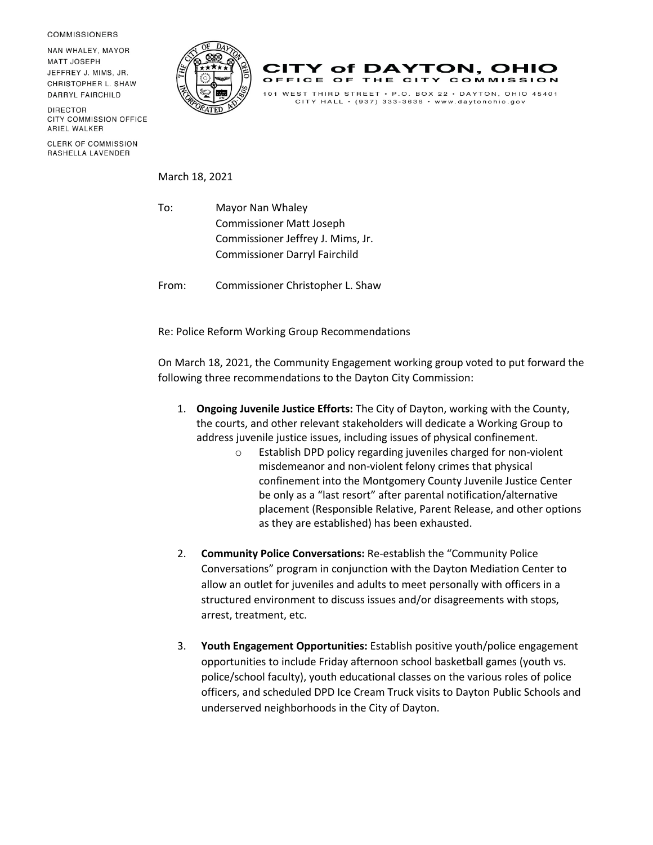**COMMISSIONERS** 

NAN WHALEY, MAYOR **MATT JOSEPH** JEFFREY J. MIMS, JR. CHRISTOPHER L. SHAW DARRYL FAIRCHILD

**DIRECTOR** CITY COMMISSION OFFICE ARIEL WALKER

**CLERK OF COMMISSION** RASHELLA LAVENDER





 $CITY$  HALL  $\cdot$  (937) 333-3636  $\cdot$  www.daytonohio.gov

March 18, 2021

To: Mayor Nan Whaley Commissioner Matt Joseph Commissioner Jeffrey J. Mims, Jr. Commissioner Darryl Fairchild

From: Commissioner Christopher L. Shaw

Re: Police Reform Working Group Recommendations

On March 18, 2021, the Community Engagement working group voted to put forward the following three recommendations to the Dayton City Commission:

- 1. **Ongoing Juvenile Justice Efforts:** The City of Dayton, working with the County, the courts, and other relevant stakeholders will dedicate a Working Group to address juvenile justice issues, including issues of physical confinement.
	- o Establish DPD policy regarding juveniles charged for non-violent misdemeanor and non-violent felony crimes that physical confinement into the Montgomery County Juvenile Justice Center be only as a "last resort" after parental notification/alternative placement (Responsible Relative, Parent Release, and other options as they are established) has been exhausted.
- 2. **Community Police Conversations:** Re-establish the "Community Police Conversations" program in conjunction with the Dayton Mediation Center to allow an outlet for juveniles and adults to meet personally with officers in a structured environment to discuss issues and/or disagreements with stops, arrest, treatment, etc.
- 3. **Youth Engagement Opportunities:** Establish positive youth/police engagement opportunities to include Friday afternoon school basketball games (youth vs. police/school faculty), youth educational classes on the various roles of police officers, and scheduled DPD Ice Cream Truck visits to Dayton Public Schools and underserved neighborhoods in the City of Dayton.